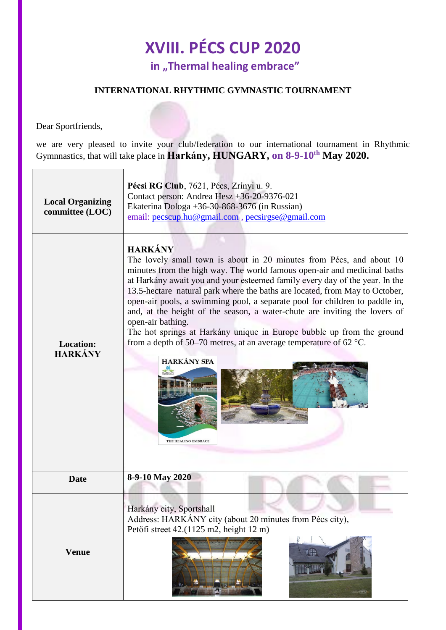## **XVIII. PÉCS CUP 2020 in "Thermal healing embrace"**

## **INTERNATIONAL RHYTHMIC GYMNASTIC TOURNAMENT**

Dear Sportfriends,

we are very pleased to invite your club/federation to our international tournament in Rhythmic Gymnnastics, that will take place in **Harkány, HUNGARY, on 8-9-10th May 2020.**

| <b>Local Organizing</b><br>committee (LOC) | Pécsi RG Club, 7621, Pécs, Zrínyi u. 9.<br>Contact person: Andrea Hesz +36-20-9376-021<br>Ekaterina Dologa +36-30-868-3676 (in Russian)<br>email: pecscup.hu@gmail.com, pecsirgse@gmail.com                                                                                                                                                                                                                                                                                                                                                                                                                                                                                                                             |
|--------------------------------------------|-------------------------------------------------------------------------------------------------------------------------------------------------------------------------------------------------------------------------------------------------------------------------------------------------------------------------------------------------------------------------------------------------------------------------------------------------------------------------------------------------------------------------------------------------------------------------------------------------------------------------------------------------------------------------------------------------------------------------|
| <b>Location:</b><br><b>HARKÁNY</b>         | <b>HARKÁNY</b><br>The lovely small town is about in 20 minutes from Pécs, and about 10<br>minutes from the high way. The world famous open-air and medicinal baths<br>at Harkány await you and your esteemed family every day of the year. In the<br>13.5-hectare natural park where the baths are located, from May to October,<br>open-air pools, a swimming pool, a separate pool for children to paddle in,<br>and, at the height of the season, a water-chute are inviting the lovers of<br>open-air bathing.<br>The hot springs at Harkány unique in Europe bubble up from the ground<br>from a depth of 50–70 metres, at an average temperature of 62 $^{\circ}$ C.<br><b>HARKÁNY SPA</b><br>THE HEALING EMBRACE |
| <b>Date</b>                                | 8-9-10 May 2020                                                                                                                                                                                                                                                                                                                                                                                                                                                                                                                                                                                                                                                                                                         |
| <b>Venue</b>                               | Harkány city, Sportshall<br>Address: HARKÁNY city (about 20 minutes from Pécs city),<br>Petőfi street 42.(1125 m2, height 12 m)<br>sportuge.                                                                                                                                                                                                                                                                                                                                                                                                                                                                                                                                                                            |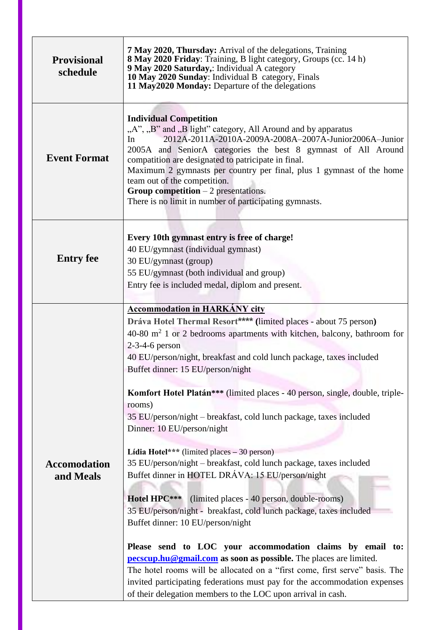| <b>Provisional</b><br>schedule   | 7 May 2020, Thursday: Arrival of the delegations, Training<br>8 May 2020 Friday: Training, B light category, Groups (cc. 14 h)<br>9 May 2020 Saturday,: Individual A category<br>10 May 2020 Sunday: Individual B category, Finals<br>11 May2020 Monday: Departure of the delegations                                                                                                                                                                                                                   |
|----------------------------------|---------------------------------------------------------------------------------------------------------------------------------------------------------------------------------------------------------------------------------------------------------------------------------------------------------------------------------------------------------------------------------------------------------------------------------------------------------------------------------------------------------|
| <b>Event Format</b>              | <b>Individual Competition</b><br>"A", "B" and "B light" category, All Around and by apparatus<br>2012A-2011A-2010A-2009A-2008A-2007A-Junior2006A-Junior<br>In<br>2005A and SeniorA categories the best 8 gymnast of All Around<br>compatition are designated to patricipate in final.<br>Maximum 2 gymnasts per country per final, plus 1 gymnast of the home<br>team out of the competition.<br><b>Group competition</b> $-2$ presentations.<br>There is no limit in number of participating gymnasts. |
| <b>Entry fee</b>                 | Every 10th gymnast entry is free of charge!<br>40 EU/gymnast (individual gymnast)<br>30 EU/gymnast (group)<br>55 EU/gymnast (both individual and group)<br>Entry fee is included medal, diplom and present.                                                                                                                                                                                                                                                                                             |
|                                  | <b>Accommodation in HARKÁNY city</b><br>Dráva Hotel Thermal Resort**** (limited places - about 75 person)<br>40-80 $m2$ 1 or 2 bedrooms apartments with kitchen, balcony, bathroom for<br>$2-3-4-6$ person<br>40 EU/person/night, breakfast and cold lunch package, taxes included<br>Buffet dinner: 15 EU/person/night                                                                                                                                                                                 |
|                                  | Komfort Hotel Platán*** (limited places - 40 person, single, double, triple-<br>rooms)<br>35 EU/person/night – breakfast, cold lunch package, taxes included<br>Dinner: 10 EU/person/night                                                                                                                                                                                                                                                                                                              |
| <b>Accomodation</b><br>and Meals | Lídia Hotel*** (limited places $-30$ person)<br>35 EU/person/night - breakfast, cold lunch package, taxes included<br>Buffet dinner in HOTEL DRÁVA: 15 EU/person/night<br>Hotel HPC***<br>(limited places - 40 person, double-rooms)<br>35 EU/person/night - breakfast, cold lunch package, taxes included<br>Buffet dinner: 10 EU/person/night                                                                                                                                                         |
|                                  | Please send to LOC your accommodation claims by email to:<br><b>pecscup.hu@gmail.com</b> as soon as possible. The places are limited.<br>The hotel rooms will be allocated on a "first come, first serve" basis. The<br>invited participating federations must pay for the accommodation expenses<br>of their delegation members to the LOC upon arrival in cash.                                                                                                                                       |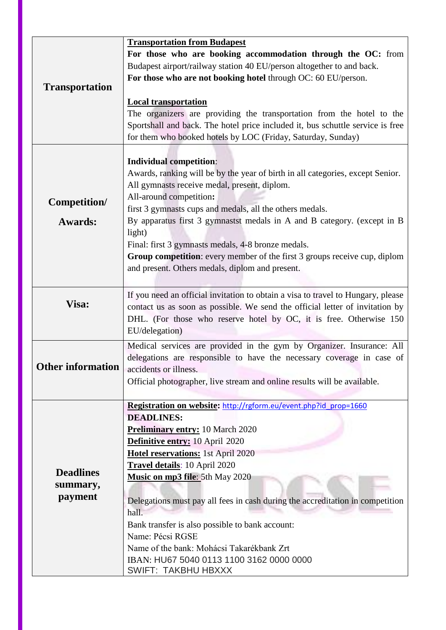|                          | <b>Transportation from Budapest</b>                                              |
|--------------------------|----------------------------------------------------------------------------------|
|                          | For those who are booking accommodation through the OC: from                     |
|                          | Budapest airport/railway station 40 EU/person altogether to and back.            |
|                          | For those who are not booking hotel through OC: 60 EU/person.                    |
| <b>Transportation</b>    |                                                                                  |
|                          | <b>Local transportation</b>                                                      |
|                          | The organizers are providing the transportation from the hotel to the            |
|                          | Sportshall and back. The hotel price included it, bus schuttle service is free   |
|                          | for them who booked hotels by LOC (Friday, Saturday, Sunday)                     |
|                          |                                                                                  |
|                          | <b>Individual competition:</b>                                                   |
|                          | Awards, ranking will be by the year of birth in all categories, except Senior.   |
|                          | All gymnasts receive medal, present, diplom.                                     |
|                          | All-around competition:                                                          |
| Competition/             | first 3 gymnasts cups and medals, all the others medals.                         |
| <b>Awards:</b>           | By apparatus first 3 gymnastst medals in A and B category. (except in B          |
|                          | light)                                                                           |
|                          | Final: first 3 gymnasts medals, 4-8 bronze medals.                               |
|                          | Group competition: every member of the first 3 groups receive cup, diplom        |
|                          | and present. Others medals, diplom and present.                                  |
|                          |                                                                                  |
|                          | If you need an official invitation to obtain a visa to travel to Hungary, please |
| Visa:                    | contact us as soon as possible. We send the official letter of invitation by     |
|                          | DHL. (For those who reserve hotel by OC, it is free. Otherwise 150               |
|                          | EU/delegation)                                                                   |
|                          | Medical services are provided in the gym by Organizer. Insurance: All            |
|                          | delegations are responsible to have the necessary coverage in case of            |
| <b>Other information</b> | accidents or illness.                                                            |
|                          | Official photographer, live stream and online results will be available.         |
|                          |                                                                                  |
|                          | Registration on website: http://rgform.eu/event.php?id_prop=1660                 |
|                          | <b>DEADLINES:</b>                                                                |
|                          | <b>Preliminary entry: 10 March 2020</b>                                          |
|                          | Definitive entry: 10 April 2020                                                  |
|                          | Hotel reservations: 1st April 2020                                               |
|                          | Travel details: 10 April 2020                                                    |
| <b>Deadlines</b>         | Music on mp3 file: 5th May 2020                                                  |
| summary,                 |                                                                                  |
| payment                  | Delegations must pay all fees in cash during the accreditation in competition    |
|                          | hall.                                                                            |
|                          | Bank transfer is also possible to bank account:                                  |
|                          | Name: Pécsi RGSE                                                                 |
|                          | Name of the bank: Mohácsi Takarékbank Zrt                                        |
|                          | IBAN: HU67 5040 0113 1100 3162 0000 0000                                         |
|                          | <b>SWIFT: TAKBHU HBXXX</b>                                                       |